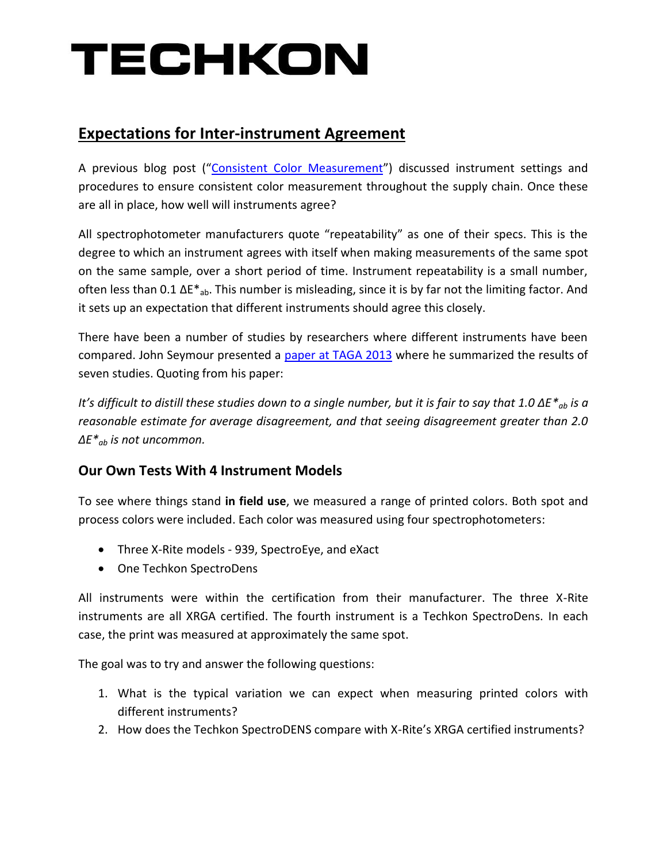# TECHKON

## **Expectations for Inter-instrument Agreement**

A previous blog post ("[Consistent Color Measurement](http://www.techkonusa.com/consistent-color-measurement/)") discussed instrument settings and procedures to ensure consistent color measurement throughout the supply chain. Once these are all in place, how well will instruments agree?

All spectrophotometer manufacturers quote "repeatability" as one of their specs. This is the degree to which an instrument agrees with itself when making measurements of the same spot on the same sample, over a short period of time. Instrument repeatability is a small number, often less than 0.1  $\Delta E^*$ <sub>ab</sub>. This number is misleading, since it is by far not the limiting factor. And it sets up an expectation that different instruments should agree this closely.

There have been a number of studies by researchers where different instruments have been compared. John Seymour presented a [paper at TAGA 2013](http://johnthemathguy.com/files/pdf/EvaluationOfReferenceMaterialsForCalibrationOfSpectrophotometers.pdf) where he summarized the results of seven studies. Quoting from his paper:

*It's difficult to distill these studies down to a single number, but it is fair to say that 1.0 ΔE<sup>\*</sup><sub>ab</sub> is a reasonable estimate for average disagreement, and that seeing disagreement greater than 2.0 ΔE\*ab is not uncommon.* 

### **Our Own Tests With 4 Instrument Models**

To see where things stand **in field use**, we measured a range of printed colors. Both spot and process colors were included. Each color was measured using four spectrophotometers:

- Three X-Rite models 939, SpectroEye, and eXact
- One Techkon SpectroDens

All instruments were within the certification from their manufacturer. The three X-Rite instruments are all XRGA certified. The fourth instrument is a Techkon SpectroDens. In each case, the print was measured at approximately the same spot.

The goal was to try and answer the following questions:

- 1. What is the typical variation we can expect when measuring printed colors with different instruments?
- 2. How does the Techkon SpectroDENS compare with X-Rite's XRGA certified instruments?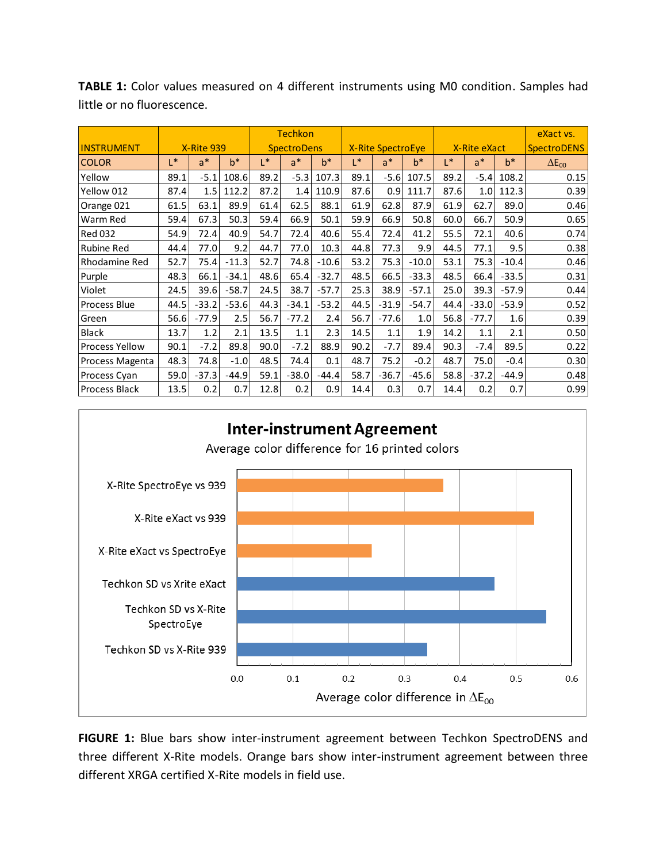|                       |                   |         |         | <b>Techkon</b>     |         |         |                          |         |         |              |         |         | eXact vs.          |
|-----------------------|-------------------|---------|---------|--------------------|---------|---------|--------------------------|---------|---------|--------------|---------|---------|--------------------|
| <b>INSTRUMENT</b>     | <b>X-Rite 939</b> |         |         | <b>SpectroDens</b> |         |         | <b>X-Rite SpectroEye</b> |         |         | X-Rite eXact |         |         | <b>SpectroDENS</b> |
| <b>COLOR</b>          | $L^*$             | $a^*$   | $b^*$   | $\mathsf{I}^*$     | $a^*$   | $b^*$   | $L^*$                    | $a^*$   | $b^*$   | L*           | $a^*$   | $b^*$   | $\Delta E_{00}$    |
| Yellow                | 89.1              | $-5.1$  | 108.6   | 89.2               | $-5.3$  | 107.3   | 89.1                     | $-5.6$  | 107.5   | 89.2         | $-5.4$  | 108.2   | 0.15               |
| Yellow 012            | 87.4              | 1.5     | 112.2   | 87.2               | 1.4     | 110.9   | 87.6                     | 0.9     | 111.7   | 87.6         | 1.0     | 112.3   | 0.39               |
| Orange 021            | 61.5              | 63.1    | 89.9    | 61.4               | 62.5    | 88.1    | 61.9                     | 62.8    | 87.9    | 61.9         | 62.7    | 89.0    | 0.46               |
| Warm Red              | 59.4              | 67.3    | 50.3    | 59.4               | 66.9    | 50.1    | 59.9                     | 66.9    | 50.8    | 60.0         | 66.7    | 50.9    | 0.65               |
| <b>Red 032</b>        | 54.9              | 72.4    | 40.9    | 54.7               | 72.4    | 40.6    | 55.4                     | 72.4    | 41.2    | 55.5         | 72.1    | 40.6    | 0.74               |
| <b>Rubine Red</b>     | 44.4              | 77.0    | 9.2     | 44.7               | 77.0    | 10.3    | 44.8                     | 77.3    | 9.9     | 44.5         | 77.1    | 9.5     | 0.38               |
| Rhodamine Red         | 52.7              | 75.4    | $-11.3$ | 52.7               | 74.8    | $-10.6$ | 53.2                     | 75.3    | $-10.0$ | 53.1         | 75.3    | $-10.4$ | 0.46               |
| Purple                | 48.3              | 66.1    | $-34.1$ | 48.6               | 65.4    | $-32.7$ | 48.5                     | 66.5    | $-33.3$ | 48.5         | 66.4    | $-33.5$ | 0.31               |
| Violet                | 24.5              | 39.6    | $-58.7$ | 24.5               | 38.7    | $-57.7$ | 25.3                     | 38.9    | $-57.1$ | 25.0         | 39.3    | $-57.9$ | 0.44               |
| <b>Process Blue</b>   | 44.5              | $-33.2$ | $-53.6$ | 44.3               | $-34.1$ | $-53.2$ | 44.5                     | $-31.9$ | $-54.7$ | 44.4         | $-33.0$ | $-53.9$ | 0.52               |
| Green                 | 56.6              | $-77.9$ | 2.5     | 56.7               | $-77.2$ | 2.4     | 56.7                     | $-77.6$ | 1.0     | 56.8         | $-77.7$ | 1.6     | 0.39               |
| <b>Black</b>          | 13.7              | 1.2     | 2.1     | 13.5               | 1.1     | 2.3     | 14.5                     | 1.1     | 1.9     | 14.2         | 1.1     | 2.1     | 0.50               |
| <b>Process Yellow</b> | 90.1              | $-7.2$  | 89.8    | 90.0               | $-7.2$  | 88.9    | 90.2                     | $-7.7$  | 89.4    | 90.3         | $-7.4$  | 89.5    | 0.22               |
| Process Magenta       | 48.3              | 74.8    | $-1.0$  | 48.5               | 74.4    | 0.1     | 48.7                     | 75.2    | $-0.2$  | 48.7         | 75.0    | $-0.4$  | 0.30               |
| Process Cyan          | 59.0              | $-37.3$ | $-44.9$ | 59.1               | $-38.0$ | $-44.4$ | 58.7                     | $-36.7$ | $-45.6$ | 58.8         | $-37.2$ | $-44.9$ | 0.48               |
| <b>Process Black</b>  | 13.5              | 0.2     | 0.7     | 12.8               | 0.2     | 0.9     | 14.4                     | 0.3     | 0.7     | 14.4         | 0.2     | 0.7     | 0.99               |

**TABLE 1:** Color values measured on 4 different instruments using M0 condition. Samples had little or no fluorescence.



**FIGURE 1:** Blue bars show inter-instrument agreement between Techkon SpectroDENS and three different X-Rite models. Orange bars show inter-instrument agreement between three different XRGA certified X-Rite models in field use.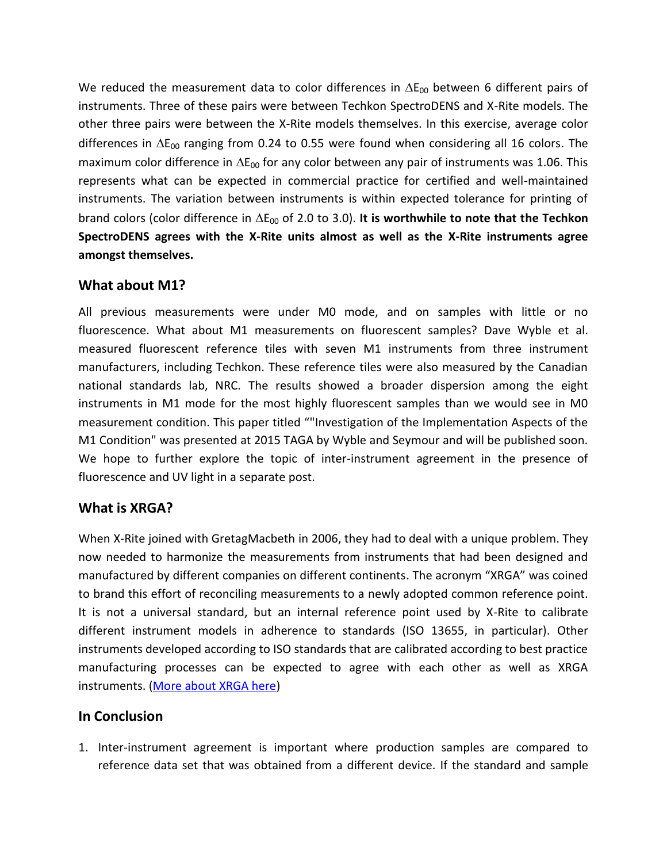We reduced the measurement data to color differences in  $\Delta E_{00}$  between 6 different pairs of instruments. Three of these pairs were between Techkon SpectroDENS and X-Rite models. The other three pairs were between the X-Rite models themselves. In this exercise, average color differences in  $\Delta E_{00}$  ranging from 0.24 to 0.55 were found when considering all 16 colors. The maximum color difference in  $\Delta E_{00}$  for any color between any pair of instruments was 1.06. This represents what can be expected in commercial practice for certified and well-maintained instruments. The variation between instruments is within expected tolerance for printing of brand colors (color difference in  $\Delta E_{00}$  of 2.0 to 3.0). It is worthwhile to note that the Techkon **SpectroDENS agrees with the X-Rite units almost as well as the X-Rite instruments agree amongst themselves.**

#### **What about M1?**

All previous measurements were under M0 mode, and on samples with little or no fluorescence. What about M1 measurements on fluorescent samples? Dave Wyble et al. measured fluorescent reference tiles with seven M1 instruments from three instrument manufacturers, including Techkon. These reference tiles were also measured by the Canadian national standards lab, NRC. The results showed a broader dispersion among the eight instruments in M1 mode for the most highly fluorescent samples than we would see in M0 measurement condition. This paper titled ""Investigation of the Implementation Aspects of the M1 Condition" was presented at 2015 TAGA by Wyble and Seymour and will be published soon. We hope to further explore the topic of inter-instrument agreement in the presence of fluorescence and UV light in a separate post.

#### **What is XRGA?**

When X-Rite joined with GretagMacbeth in 2006, they had to deal with a unique problem. They now needed to harmonize the measurements from instruments that had been designed and manufactured by different companies on different continents. The acronym "XRGA" was coined to brand this effort of reconciling measurements to a newly adopted common reference point. It is not a universal standard, but an internal reference point used by X-Rite to calibrate different instrument models in adherence to standards (ISO 13655, in particular). Other instruments developed according to ISO standards that are calibrated according to best practice manufacturing processes can be expected to agree with each other as well as XRGA instruments. [\(More about XRGA here\)](http://www.xrite.com/documents/literature/en/L7-462_XRGA_WhitePaper_en.pdf)

#### **In Conclusion**

1. Inter-instrument agreement is important where production samples are compared to reference data set that was obtained from a different device. If the standard and sample